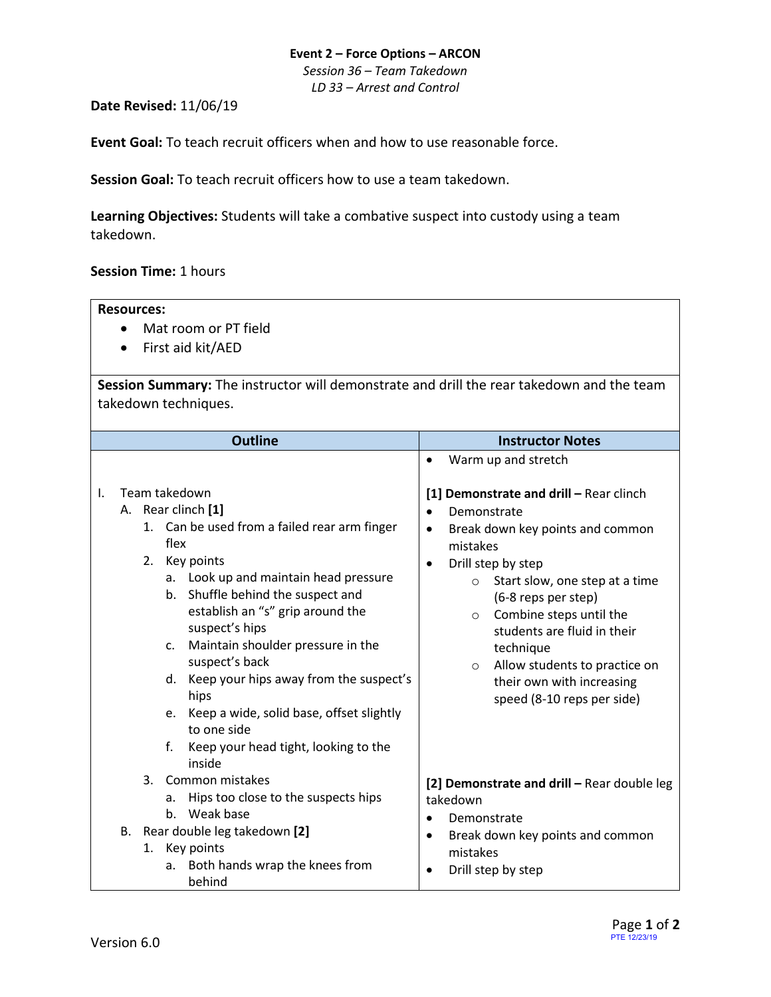## **Event 2 – Force Options – ARCON**

*Session 36 – Team Takedown LD 33 – Arrest and Control*

**Date Revised:** 11/06/19

**Event Goal:** To teach recruit officers when and how to use reasonable force.

**Session Goal:** To teach recruit officers how to use a team takedown.

**Learning Objectives:** Students will take a combative suspect into custody using a team takedown.

## **Session Time:** 1 hours

## **Resources:**

- Mat room or PT field
- First aid kit/AED

**Session Summary:** The instructor will demonstrate and drill the rear takedown and the team takedown techniques.

|    |                | <b>Outline</b>                                                                                                                                                                                                                                                                                    | <b>Instructor Notes</b>                                                                                                                                                                                                                                                                                                                          |  |
|----|----------------|---------------------------------------------------------------------------------------------------------------------------------------------------------------------------------------------------------------------------------------------------------------------------------------------------|--------------------------------------------------------------------------------------------------------------------------------------------------------------------------------------------------------------------------------------------------------------------------------------------------------------------------------------------------|--|
| Ι. | 2.             | Team takedown<br>A. Rear clinch [1]<br>1. Can be used from a failed rear arm finger<br>flex<br>Key points<br>a. Look up and maintain head pressure<br>b. Shuffle behind the suspect and<br>establish an "s" grip around the<br>suspect's hips<br>Maintain shoulder pressure in the<br>$C_{\star}$ | Warm up and stretch<br>$\bullet$<br>[1] Demonstrate and drill - Rear clinch<br>Demonstrate<br>Break down key points and common<br>$\bullet$<br>mistakes<br>Drill step by step<br>$\bullet$<br>Start slow, one step at a time<br>$\circ$<br>(6-8 reps per step)<br>Combine steps until the<br>$\circ$<br>students are fluid in their<br>technique |  |
|    | f.             | suspect's back<br>d. Keep your hips away from the suspect's<br>hips<br>Keep a wide, solid base, offset slightly<br>e.<br>to one side<br>Keep your head tight, looking to the<br>inside                                                                                                            | Allow students to practice on<br>$\circ$<br>their own with increasing<br>speed (8-10 reps per side)                                                                                                                                                                                                                                              |  |
|    | $\mathbf{3}$ . | Common mistakes<br>Hips too close to the suspects hips<br>a.<br>b. Weak base                                                                                                                                                                                                                      | [2] Demonstrate and drill - Rear double leg<br>takedown<br>Demonstrate                                                                                                                                                                                                                                                                           |  |
|    |                | B. Rear double leg takedown [2]<br>1. Key points<br>a. Both hands wrap the knees from<br>behind                                                                                                                                                                                                   | Break down key points and common<br>٠<br>mistakes<br>Drill step by step                                                                                                                                                                                                                                                                          |  |